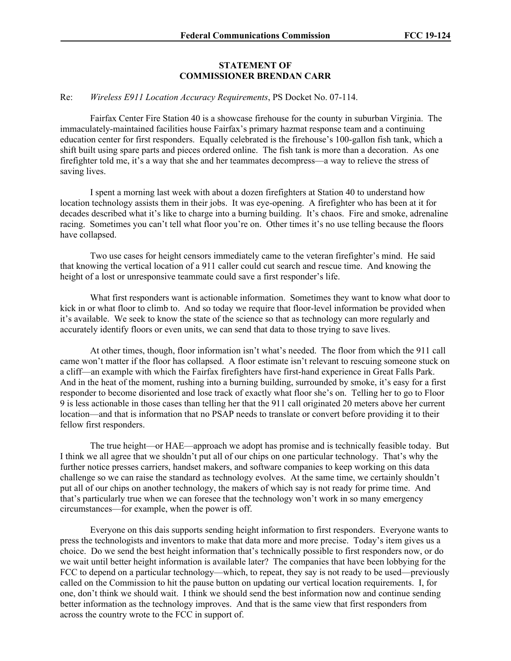## **STATEMENT OF COMMISSIONER BRENDAN CARR**

## Re: *Wireless E911 Location Accuracy Requirements*, PS Docket No. 07-114.

Fairfax Center Fire Station 40 is a showcase firehouse for the county in suburban Virginia. The immaculately-maintained facilities house Fairfax's primary hazmat response team and a continuing education center for first responders. Equally celebrated is the firehouse's 100-gallon fish tank, which a shift built using spare parts and pieces ordered online. The fish tank is more than a decoration. As one firefighter told me, it's a way that she and her teammates decompress—a way to relieve the stress of saving lives.

I spent a morning last week with about a dozen firefighters at Station 40 to understand how location technology assists them in their jobs. It was eye-opening. A firefighter who has been at it for decades described what it's like to charge into a burning building. It's chaos. Fire and smoke, adrenaline racing. Sometimes you can't tell what floor you're on. Other times it's no use telling because the floors have collapsed.

Two use cases for height censors immediately came to the veteran firefighter's mind. He said that knowing the vertical location of a 911 caller could cut search and rescue time. And knowing the height of a lost or unresponsive teammate could save a first responder's life.

What first responders want is actionable information. Sometimes they want to know what door to kick in or what floor to climb to. And so today we require that floor-level information be provided when it's available. We seek to know the state of the science so that as technology can more regularly and accurately identify floors or even units, we can send that data to those trying to save lives.

At other times, though, floor information isn't what's needed. The floor from which the 911 call came won't matter if the floor has collapsed. A floor estimate isn't relevant to rescuing someone stuck on a cliff—an example with which the Fairfax firefighters have first-hand experience in Great Falls Park. And in the heat of the moment, rushing into a burning building, surrounded by smoke, it's easy for a first responder to become disoriented and lose track of exactly what floor she's on. Telling her to go to Floor 9 is less actionable in those cases than telling her that the 911 call originated 20 meters above her current location—and that is information that no PSAP needs to translate or convert before providing it to their fellow first responders.

The true height—or HAE—approach we adopt has promise and is technically feasible today. But I think we all agree that we shouldn't put all of our chips on one particular technology. That's why the further notice presses carriers, handset makers, and software companies to keep working on this data challenge so we can raise the standard as technology evolves. At the same time, we certainly shouldn't put all of our chips on another technology, the makers of which say is not ready for prime time. And that's particularly true when we can foresee that the technology won't work in so many emergency circumstances—for example, when the power is off.

Everyone on this dais supports sending height information to first responders. Everyone wants to press the technologists and inventors to make that data more and more precise. Today's item gives us a choice. Do we send the best height information that's technically possible to first responders now, or do we wait until better height information is available later? The companies that have been lobbying for the FCC to depend on a particular technology—which, to repeat, they say is not ready to be used—previously called on the Commission to hit the pause button on updating our vertical location requirements. I, for one, don't think we should wait. I think we should send the best information now and continue sending better information as the technology improves. And that is the same view that first responders from across the country wrote to the FCC in support of.